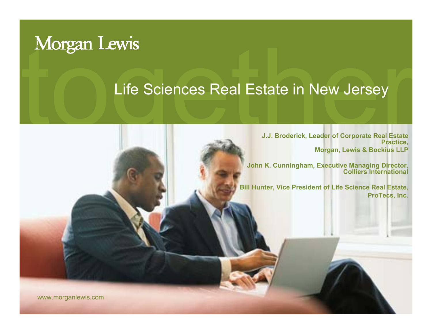# Morgan Lewis

#### Life Sciences Real Estate in New Jersey

**J.J. Broderick, Leader of Corporate Real Estate Practice, Morgan, Lewis & Bockius LLP**

**John K. Cunningham, Executive Managing Director, Colliers International**

**Bill Hunter, Vice President of Life Science Real Estate, ProTecs, Inc.**

www.morganlewis.com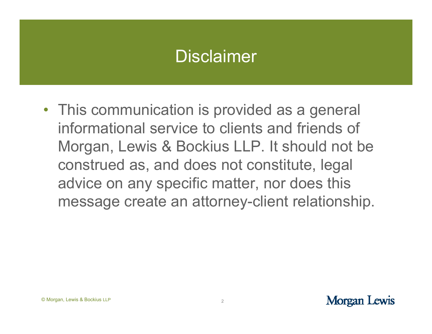### **Disclaimer**

• This communication is provided as a general informational service to clients and friends of Morgan, Lewis & Bockius LLP. It should not be construed as, and does not constitute, legal advice on any specific matter, nor does this message create an attorney-client relationship.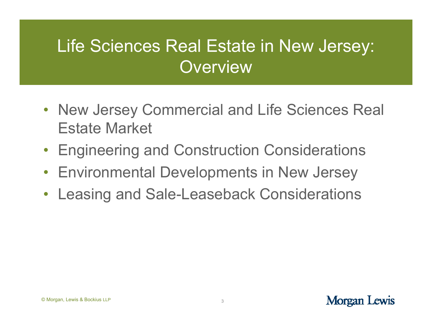# Life Sciences Real Estate in New Jersey: **Overview**

- New Jersey Commercial and Life Sciences Real Estate Market
- •Engineering and Construction Considerations
- Environmental Developments in New Jersey
- $\bullet$ Leasing and Sale-Leaseback Considerations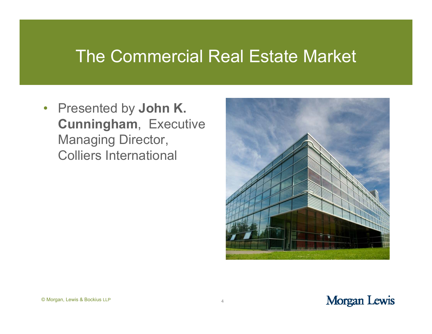#### The Commercial Real Estate Market

• Presented by **John K. Cunningham**, Executive Managing Director, Colliers International



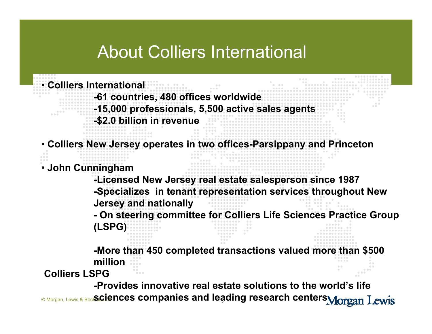## About Colliers International

• **Colliers International** 

- **-61 countries, 480 offices worldwide**
- **-15,000 professionals, 5,500 active sales agents**
- **-\$2.0 billion in revenue**

• **Colliers New Jersey operates in two offices-Parsippany and Princeton**

• **John Cunningham** 

**-Licensed New Jersey real estate salesperson since 1987 -Specializes in tenant representation services throughout New Jersey and nationally**

**- On steering committee for Colliers Life Sciences Practice Group (LSPG)**

**-More than 450 completed transactions valued more than \$500 million**

**Colliers LSPG**

© Morgan, Lewis & Bocl**S£iences companies and leading research centers -Provides innovative real estate solutions to the world's life**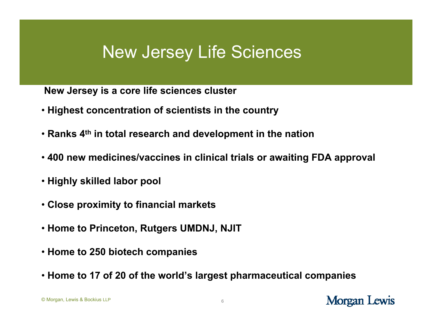## New Jersey Life Sciences

**New Jersey is a core life sciences cluster**

- **Highest concentration of scientists in the country**
- **Ranks 4th in total research and development in the nation**
- **400 new medicines/vaccines in clinical trials or awaiting FDA approval**
- **Highly skilled labor pool**
- **Close proximity to financial markets**
- **Home to Princeton, Rutgers UMDNJ, NJIT**
- **Home to 250 biotech companies**
- **Home to 17 of 20 of the world's largest pharmaceutical companies**

C Morgan, Lewis & Bockius LLP 6 **LLP LLP**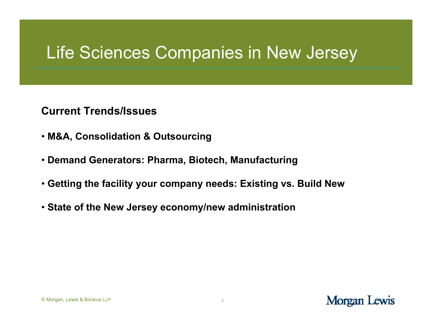## Life Sciences Companies in New Jersey

**Current Trends/Issues**

- **M&A, Consolidation & Outsourcing**
- **Demand Generators: Pharma, Biotech, Manufacturing**
- **Getting the facility your company needs: Existing vs. Build New**
- **State of the New Jersey economy/new administration**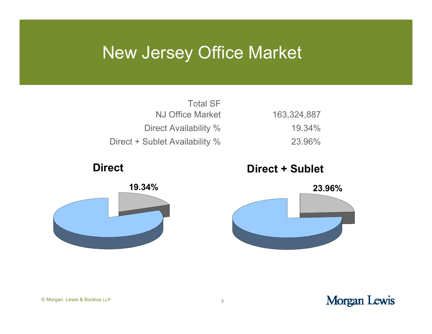## New Jersey Office Market

| <b>Total SF</b>                |  |
|--------------------------------|--|
| NJ Office Market               |  |
| Direct Availability %          |  |
| Direct + Sublet Availability % |  |

#### **Direct**



#### **Direct + Sublet**

23.96%

19.34%

163,324,887



#### Morgan Lewis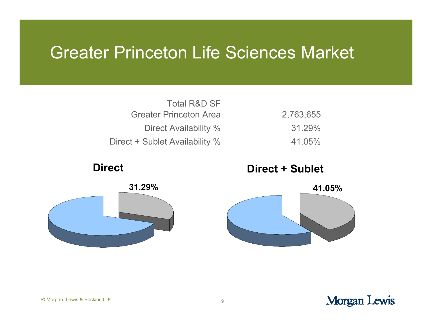### Greater Princeton Life Sciences Market

| <b>Total R&amp;D SF</b>        |  |
|--------------------------------|--|
| <b>Greater Princeton Area</b>  |  |
| Direct Availability %          |  |
| Direct + Sublet Availability % |  |

#### **Direct**



#### **Direct + Sublet**

41.05%

31.29%

2,763,655

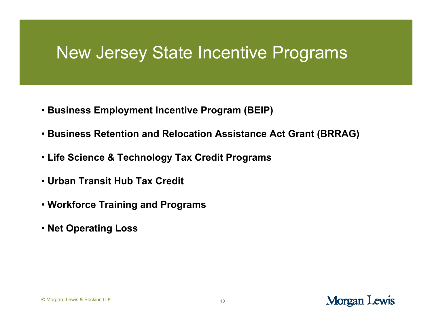## New Jersey State Incentive Programs

- **Business Employment Incentive Program (BEIP)**
- **Business Retention and Relocation Assistance Act Grant (BRRAG)**
- **Life Science & Technology Tax Credit Programs**
- **Urban Transit Hub Tax Credit**
- **Workforce Training and Programs**
- **Net Operating Loss**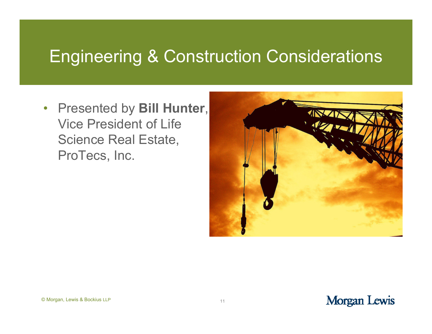### Engineering & Construction Considerations

• Presented by **Bill Hunter**, Vice President of Life Science Real Estate, ProTecs, Inc.

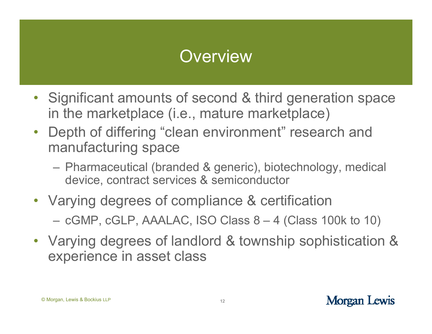# **Overview**

- • Significant amounts of second & third generation space in the marketplace (i.e., mature marketplace)
- • Depth of differing "clean environment" research and manufacturing space
	- Pharmaceutical (branded & generic), biotechnology, medical device, contract services & semiconductor
- Varying degrees of compliance & certification
	- cGMP, cGLP, AAALAC, ISO Class 8 4 (Class 100k to 10)
- Varying degrees of landlord & township sophistication & experience in asset class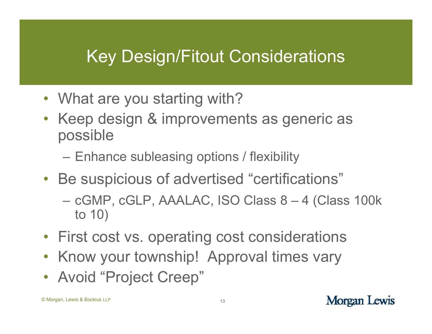# Key Design/Fitout Considerations

- What are you starting with?
- Keep design & improvements as generic as possible
	- –Enhance subleasing options / flexibility
- Be suspicious of advertised "certifications"
	- – cGMP, cGLP, AAALAC, ISO Class 8 – 4 (Class 100k to 10)
- First cost vs. operating cost considerations
- •Know your township! Approval times vary
- Avoid "Project Creep"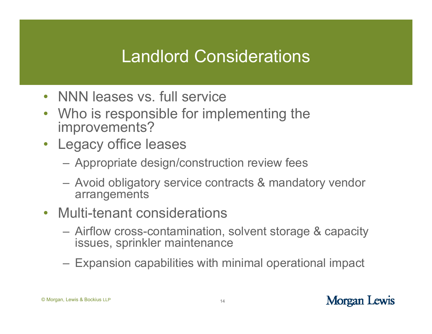## Landlord Considerations

- NNN leases vs. full service
- Who is responsible for implementing the improvements?
- Legacy office leases
	- Appropriate design/construction review fees
	- Avoid obligatory service contracts & mandatory vendor arrangements
- Multi-tenant considerations
	- Airflow cross-contamination, solvent storage & capacity issues, sprinkler maintenance
	- Expansion capabilities with minimal operational impact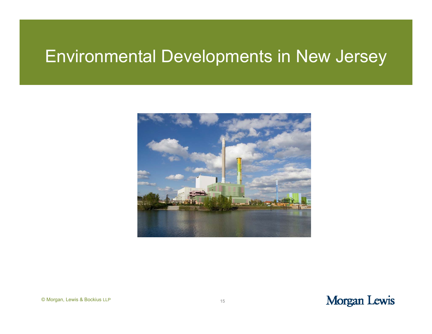# Environmental Developments in New Jersey

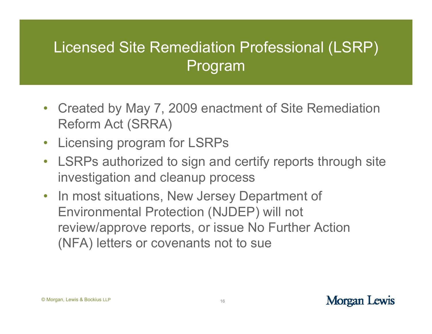### Licensed Site Remediation Professional (LSRP) Program

- $\bullet$  Created by May 7, 2009 enactment of Site Remediation Reform Act (SRRA)
- $\bullet$ Licensing program for LSRPs
- LSRPs authorized to sign and certify reports through site investigation and cleanup process
- In most situations, New Jersey Department of Environmental Protection (NJDEP) will not review/approve reports, or issue No Further Action (NFA) letters or covenants not to sue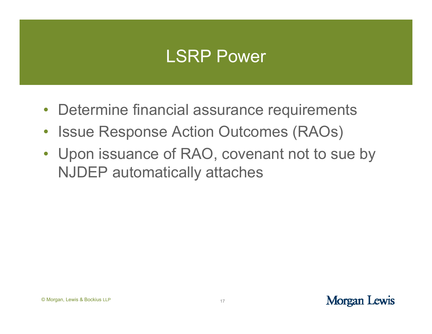### LSRP Power

- Determine financial assurance requirements
- $\bullet$ Issue Response Action Outcomes (RAOs)
- Upon issuance of RAO, covenant not to sue by NJDEP automatically attaches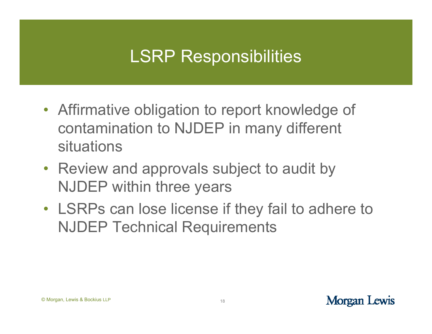# LSRP Responsibilities

- Affirmative obligation to report knowledge of contamination to NJDEP in many different situations
- Review and approvals subject to audit by NJDEP within three years
- LSRPs can lose license if they fail to adhere to NJDEP Technical Requirements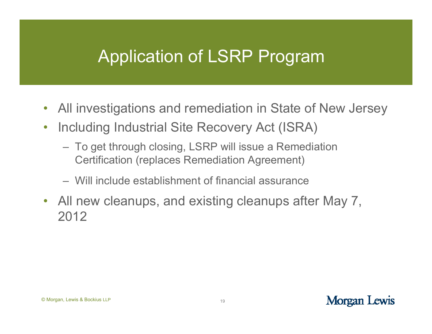## Application of LSRP Program

- All investigations and remediation in State of New Jersey
- $\bullet$  Including Industrial Site Recovery Act (ISRA)
	- To get through closing, LSRP will issue a Remediation Certification (replaces Remediation Agreement)
	- Will include establishment of financial assurance
- All new cleanups, and existing cleanups after May 7, 2012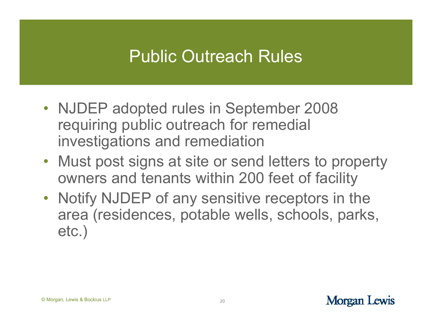## Public Outreach Rules

- NJDEP adopted rules in September 2008 requiring public outreach for remedial investigations and remediation
- Must post signs at site or send letters to property owners and tenants within 200 feet of facility
- Notify NJDEP of any sensitive receptors in the area (residences, potable wells, schools, parks, etc.)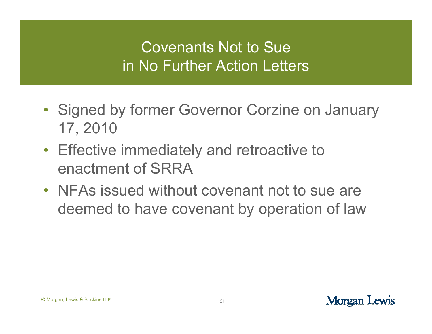#### Covenants Not to Sue in No Further Action Letters

- Signed by former Governor Corzine on January 17, 2010
- Effective immediately and retroactive to enactment of SRRA
- NFAs issued without covenant not to sue are deemed to have covenant by operation of law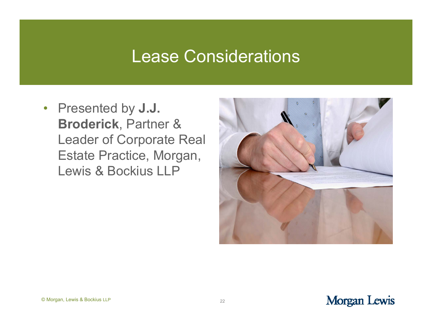#### Lease Considerations

• Presented by **J.J. Broderick**, Partner & Leader of Corporate Real Estate Practice, Morgan, Lewis & Bockius LLP

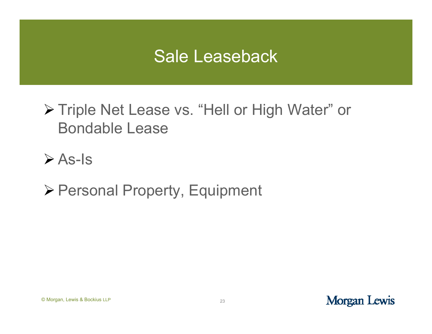## Sale Leaseback

▶ Triple Net Lease vs. "Hell or High Water" or Bondable Lease

 $\triangleright$  As-Is

Personal Property, Equipment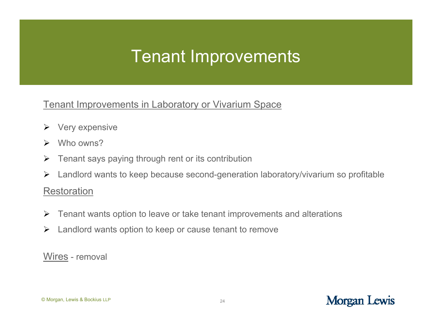## Tenant Improvements

#### Tenant Improvements in Laboratory or Vivarium Space

- $\triangleright$  Very expensive
- $\blacktriangleright$ Who owns?
- $\blacktriangleright$ Tenant says paying through rent or its contribution
- ➤ Landlord wants to keep because second-generation laboratory/vivarium so profitable

#### Restoration

- $\blacktriangleright$ Tenant wants option to leave or take tenant improvements and alterations
- $\blacktriangleright$ Landlord wants option to keep or cause tenant to remove

Wires - removal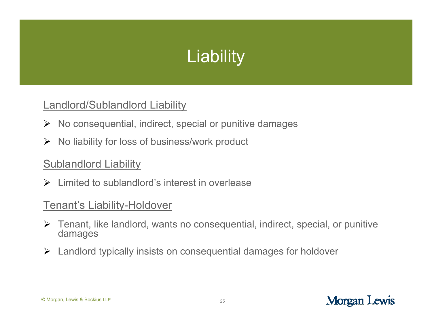# **Liability**

#### Landlord/Sublandlord Liability

- $\triangleright$  No consequential, indirect, special or punitive damages
- $\triangleright$  No liability for loss of business/work product

#### **Sublandlord Liability**

 $\triangleright$  Limited to sublandlord's interest in overlease

#### Tenant's Liability-Holdover

- Tenant, like landlord, wants no consequential, indirect, special, or punitive damages
- Landlord typically insists on consequential damages for holdover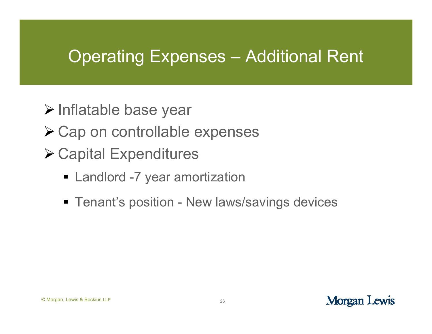## Operating Expenses – Additional Rent

- Inflatable base year
- **≻ Cap on controllable expenses**
- Capital Expenditures
	- **Example 12 Landlord -7 year amortization**
	- **Tenant's position New laws/savings devices**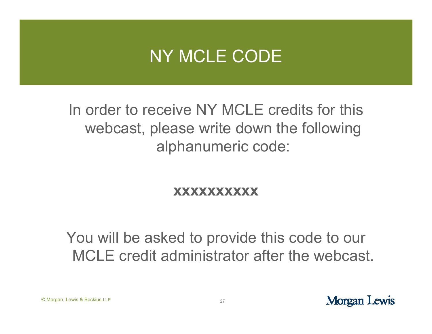## NY MCLE CODE

In order to receive NY MCLE credits for this webcast, please write down the following alphanumeric code:

#### **xxxxxxxxxx**

You will be asked to provide this code to our MCLE credit administrator after the webcast.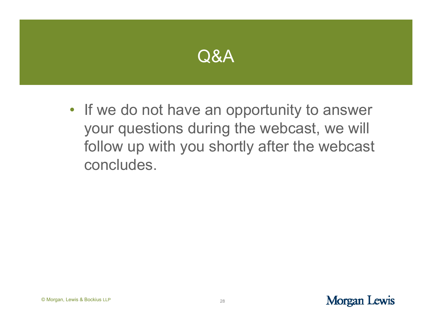

• If we do not have an opportunity to answer your questions during the webcast, we will follow up with you shortly after the webcast concludes.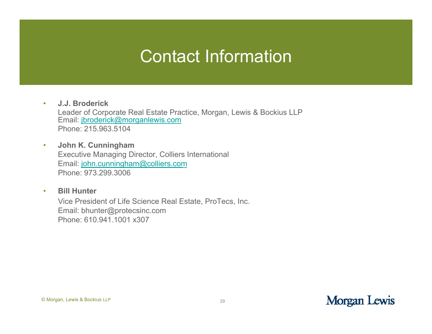### Contact Information

• **J.J. Broderick**Leader of Corporate Real Estate Practice, Morgan, Lewis & Bockius LLP Email: <u>jbroderick@morganlewis.com</u> Phone: 215.963.5104

- • **John K. Cunningham** Executive Managing Director, Colliers International Email: john.cunningham@colliers.com Phone: 973.299.3006
- $\bullet$  **Bill Hunter**Vice President of Life Science Real Estate, ProTecs, Inc. Email: bhunter@protecsinc.com Phone: 610.941.1001 x307